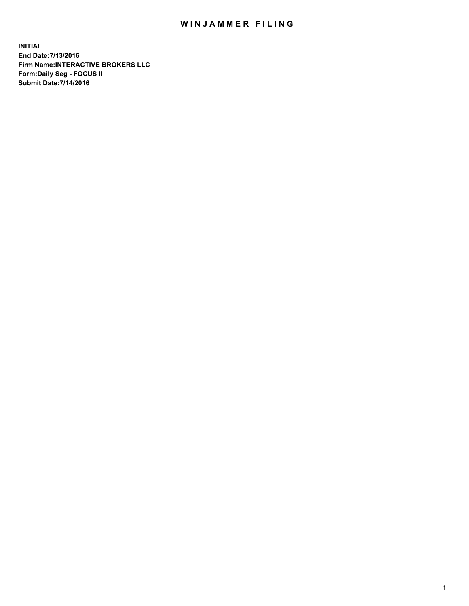## WIN JAMMER FILING

**INITIAL End Date:7/13/2016 Firm Name:INTERACTIVE BROKERS LLC Form:Daily Seg - FOCUS II Submit Date:7/14/2016**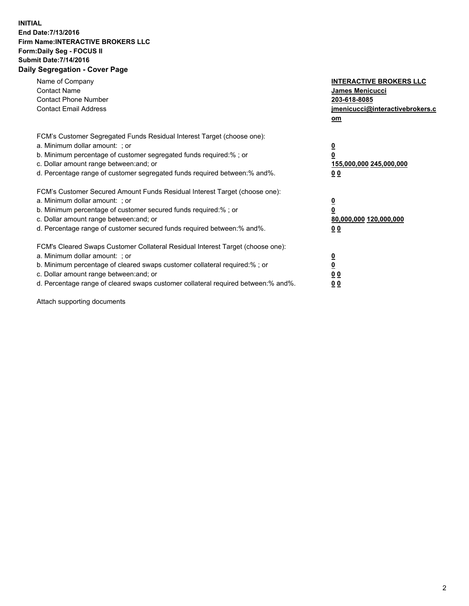## **INITIAL End Date:7/13/2016 Firm Name:INTERACTIVE BROKERS LLC Form:Daily Seg - FOCUS II Submit Date:7/14/2016 Daily Segregation - Cover Page**

| Name of Company<br><b>Contact Name</b><br><b>Contact Phone Number</b><br><b>Contact Email Address</b>                                                                                                                                                                                                                          | <b>INTERACTIVE BROKERS LLC</b><br>James Menicucci<br>203-618-8085<br>jmenicucci@interactivebrokers.c |
|--------------------------------------------------------------------------------------------------------------------------------------------------------------------------------------------------------------------------------------------------------------------------------------------------------------------------------|------------------------------------------------------------------------------------------------------|
|                                                                                                                                                                                                                                                                                                                                | om                                                                                                   |
| FCM's Customer Segregated Funds Residual Interest Target (choose one):<br>a. Minimum dollar amount: ; or<br>b. Minimum percentage of customer segregated funds required:% ; or<br>c. Dollar amount range between: and; or<br>d. Percentage range of customer segregated funds required between: % and %.                       | $\overline{\mathbf{0}}$<br>$\overline{\mathbf{0}}$<br>155,000,000 245,000,000<br>0 <sub>0</sub>      |
| FCM's Customer Secured Amount Funds Residual Interest Target (choose one):<br>a. Minimum dollar amount: ; or<br>b. Minimum percentage of customer secured funds required:%; or<br>c. Dollar amount range between: and; or<br>d. Percentage range of customer secured funds required between:% and%.                            | $\overline{\mathbf{0}}$<br>$\overline{\mathbf{0}}$<br>80,000,000 120,000,000<br>0 <sub>0</sub>       |
| FCM's Cleared Swaps Customer Collateral Residual Interest Target (choose one):<br>a. Minimum dollar amount: ; or<br>b. Minimum percentage of cleared swaps customer collateral required:% ; or<br>c. Dollar amount range between: and; or<br>d. Percentage range of cleared swaps customer collateral required between:% and%. | $\underline{\mathbf{0}}$<br><u>0</u><br>0 <sub>0</sub><br>0 <sup>0</sup>                             |

Attach supporting documents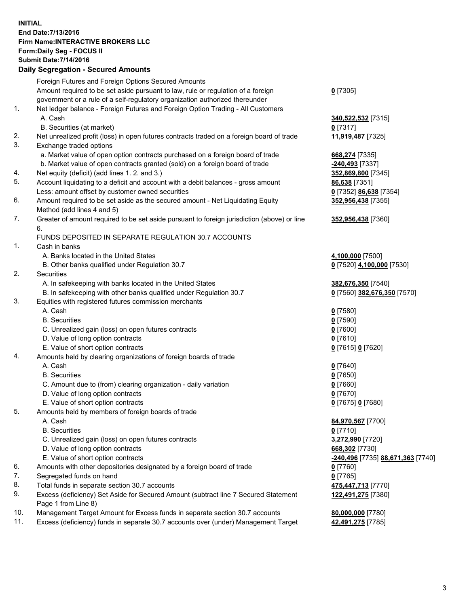## **INITIAL End Date:7/13/2016 Firm Name:INTERACTIVE BROKERS LLC Form:Daily Seg - FOCUS II Submit Date:7/14/2016 Daily Segregation - Secured Amounts**

|     | Daily Segregation - Secured Amounts                                                                        |                                   |  |
|-----|------------------------------------------------------------------------------------------------------------|-----------------------------------|--|
|     | Foreign Futures and Foreign Options Secured Amounts                                                        |                                   |  |
|     | Amount required to be set aside pursuant to law, rule or regulation of a foreign                           | $0$ [7305]                        |  |
|     | government or a rule of a self-regulatory organization authorized thereunder                               |                                   |  |
| 1.  | Net ledger balance - Foreign Futures and Foreign Option Trading - All Customers                            |                                   |  |
|     | A. Cash                                                                                                    | 340,522,532 [7315]                |  |
|     | B. Securities (at market)                                                                                  | $0$ [7317]                        |  |
| 2.  | Net unrealized profit (loss) in open futures contracts traded on a foreign board of trade                  | 11,919,487 [7325]                 |  |
| 3.  | Exchange traded options                                                                                    |                                   |  |
|     | a. Market value of open option contracts purchased on a foreign board of trade                             | 668,274 [7335]                    |  |
|     | b. Market value of open contracts granted (sold) on a foreign board of trade                               | -240,493 [7337]                   |  |
| 4.  | Net equity (deficit) (add lines 1.2. and 3.)                                                               | 352,869,800 [7345]                |  |
| 5.  | Account liquidating to a deficit and account with a debit balances - gross amount                          | 86,638 [7351]                     |  |
|     | Less: amount offset by customer owned securities                                                           | 0 [7352] 86,638 [7354]            |  |
| 6.  | Amount required to be set aside as the secured amount - Net Liquidating Equity                             | 352,956,438 [7355]                |  |
|     | Method (add lines 4 and 5)                                                                                 |                                   |  |
| 7.  | Greater of amount required to be set aside pursuant to foreign jurisdiction (above) or line                | 352,956,438 [7360]                |  |
|     | 6.                                                                                                         |                                   |  |
|     | FUNDS DEPOSITED IN SEPARATE REGULATION 30.7 ACCOUNTS                                                       |                                   |  |
| 1.  | Cash in banks                                                                                              |                                   |  |
|     | A. Banks located in the United States                                                                      | 4,100,000 [7500]                  |  |
|     | B. Other banks qualified under Regulation 30.7                                                             | 0 [7520] 4,100,000 [7530]         |  |
| 2.  | Securities                                                                                                 |                                   |  |
|     | A. In safekeeping with banks located in the United States                                                  | 382,676,350 [7540]                |  |
|     | B. In safekeeping with other banks qualified under Regulation 30.7                                         | 0 [7560] 382,676,350 [7570]       |  |
| 3.  | Equities with registered futures commission merchants                                                      |                                   |  |
|     | A. Cash                                                                                                    | $0$ [7580]                        |  |
|     | <b>B.</b> Securities                                                                                       | $0$ [7590]                        |  |
|     | C. Unrealized gain (loss) on open futures contracts                                                        | $0$ [7600]                        |  |
|     | D. Value of long option contracts                                                                          | $0$ [7610]                        |  |
|     | E. Value of short option contracts                                                                         | 0 [7615] 0 [7620]                 |  |
| 4.  | Amounts held by clearing organizations of foreign boards of trade                                          |                                   |  |
|     | A. Cash                                                                                                    | $0$ [7640]                        |  |
|     | <b>B.</b> Securities                                                                                       | $0$ [7650]                        |  |
|     | C. Amount due to (from) clearing organization - daily variation                                            | $0$ [7660]                        |  |
|     | D. Value of long option contracts                                                                          | $0$ [7670]                        |  |
|     | E. Value of short option contracts                                                                         | 0 [7675] 0 [7680]                 |  |
| 5.  | Amounts held by members of foreign boards of trade                                                         |                                   |  |
|     | A. Cash                                                                                                    | 84,970,567 [7700]                 |  |
|     | <b>B.</b> Securities                                                                                       | $0$ [7710]                        |  |
|     | C. Unrealized gain (loss) on open futures contracts                                                        | 3,272,990 [7720]                  |  |
|     | D. Value of long option contracts                                                                          | 668,302 [7730]                    |  |
|     | E. Value of short option contracts                                                                         | -240,496 [7735] 88,671,363 [7740] |  |
| 6.  | Amounts with other depositories designated by a foreign board of trade                                     | 0 [7760]                          |  |
| 7.  | Segregated funds on hand                                                                                   | $0$ [7765]                        |  |
| 8.  | Total funds in separate section 30.7 accounts                                                              | 475,447,713 [7770]                |  |
| 9.  | Excess (deficiency) Set Aside for Secured Amount (subtract line 7 Secured Statement<br>Page 1 from Line 8) | 122,491,275 [7380]                |  |
| 10. | Management Target Amount for Excess funds in separate section 30.7 accounts                                | 80,000,000 [7780]                 |  |
| 11. | Excess (deficiency) funds in separate 30.7 accounts over (under) Management Target                         | 42,491,275 [7785]                 |  |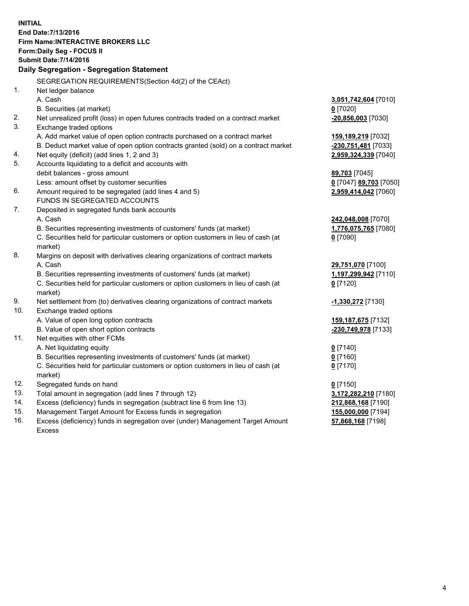**INITIAL End Date:7/13/2016 Firm Name:INTERACTIVE BROKERS LLC Form:Daily Seg - FOCUS II Submit Date:7/14/2016 Daily Segregation - Segregation Statement** SEGREGATION REQUIREMENTS(Section 4d(2) of the CEAct) 1. Net ledger balance A. Cash **3,051,742,604** [7010] B. Securities (at market) **0** [7020] 2. Net unrealized profit (loss) in open futures contracts traded on a contract market **-20,856,003** [7030] 3. Exchange traded options A. Add market value of open option contracts purchased on a contract market **159,189,219** [7032] B. Deduct market value of open option contracts granted (sold) on a contract market **-230,751,481** [7033] 4. Net equity (deficit) (add lines 1, 2 and 3) **2,959,324,339** [7040] 5. Accounts liquidating to a deficit and accounts with debit balances - gross amount **89,703** [7045] Less: amount offset by customer securities **0** [7047] **89,703** [7050] 6. Amount required to be segregated (add lines 4 and 5) **2,959,414,042** [7060] FUNDS IN SEGREGATED ACCOUNTS 7. Deposited in segregated funds bank accounts A. Cash **242,048,008** [7070] B. Securities representing investments of customers' funds (at market) **1,776,075,765** [7080] C. Securities held for particular customers or option customers in lieu of cash (at market) **0** [7090] 8. Margins on deposit with derivatives clearing organizations of contract markets A. Cash **29,751,070** [7100] B. Securities representing investments of customers' funds (at market) **1,197,299,942** [7110] C. Securities held for particular customers or option customers in lieu of cash (at market) **0** [7120] 9. Net settlement from (to) derivatives clearing organizations of contract markets **-1,330,272** [7130] 10. Exchange traded options A. Value of open long option contracts **159,187,675** [7132] B. Value of open short option contracts **-230,749,978** [7133] 11. Net equities with other FCMs A. Net liquidating equity **0** [7140] B. Securities representing investments of customers' funds (at market) **0** [7160] C. Securities held for particular customers or option customers in lieu of cash (at market) **0** [7170] 12. Segregated funds on hand **0** [7150] 13. Total amount in segregation (add lines 7 through 12) **3,172,282,210** [7180] 14. Excess (deficiency) funds in segregation (subtract line 6 from line 13) **212,868,168** [7190] 15. Management Target Amount for Excess funds in segregation **155,000,000** [7194] **57,868,168** [7198]

16. Excess (deficiency) funds in segregation over (under) Management Target Amount Excess